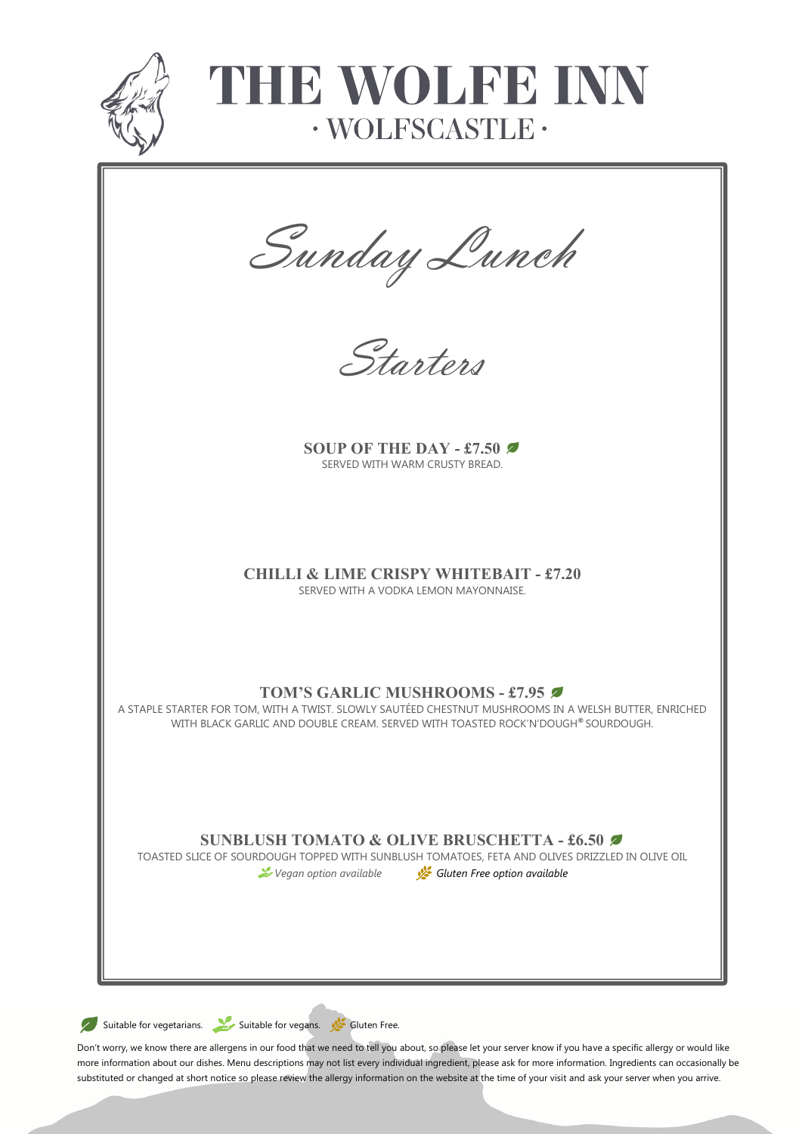

# THIR WOLFB INN  $\cdot$  WOLFSCASTLE $\cdot$

Sunday Lunch



**SOUP OF THE DAY - £7.50** SERVED WITH WARM CRUSTY BREAD.

## **CHILLI & LIME CRISPY WHITEBAIT - £7.20**

SERVED WITH A VODKA LEMON MAYONNAISE.

### **TOM'S GARLIC MUSHROOMS - £7.95**

A STAPLE STARTER FOR TOM, WITH A TWIST. SLOWLY SAUTÉED CHESTNUT MUSHROOMS IN A WELSH BUTTER, ENRICHED WITH BLACK GARLIC AND DOUBLE CREAM. SERVED WITH TOASTED ROCK'N'DOUGH**®** SOURDOUGH.

### **SUNBLUSH TOMATO & OLIVE BRUSCHETTA - £6.50**

TOASTED SLICE OF SOURDOUGH TOPPED WITH SUNBLUSH TOMATOES, FETA AND OLIVES DRIZZLED IN OLIVE OIL

*Vegan option available Gluten Free option available*

Suitable for vegetarians. Suitable for vegans. Suitable for vegans.

Don't worry, we know there are allergens in our food that we need to tell you about, so please let your server know if you have a specific allergy or would like more information about our dishes. Menu descriptions may not list every individual ingredient, please ask for more information. Ingredients can occasionally be substituted or changed at short notice so please review the allergy information on the website at the time of your visit and ask your server when you arrive.